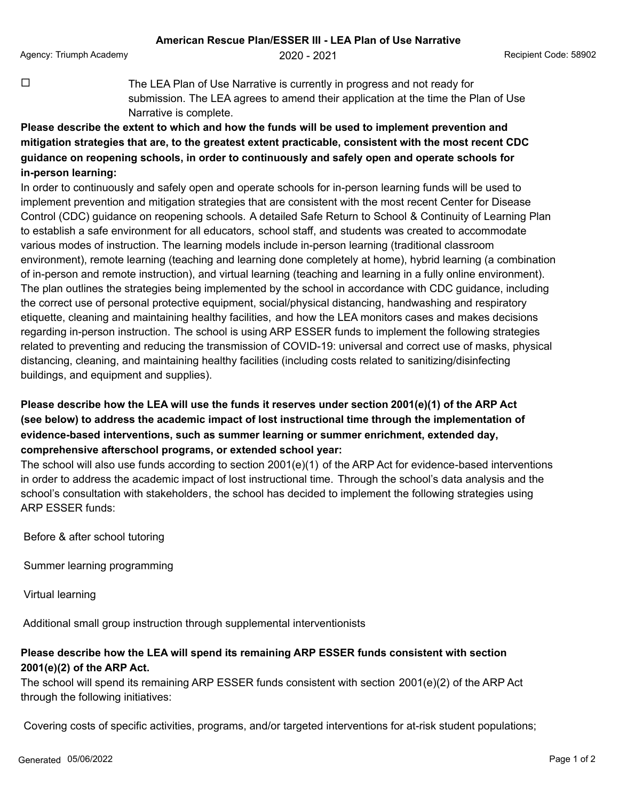$\Box$  The LEA Plan of Use Narrative is currently in progress and not ready for submission. The LEA agrees to amend their application at the time the Plan of Use Narrative is complete.

**Please describe the extent to which and how the funds will be used to implement prevention and mitigation strategies that are, to the greatest extent practicable, consistent with the most recent CDC guidance on reopening schools, in order to continuously and safely open and operate schools for in-person learning:**

In order to continuously and safely open and operate schools for in-person learning funds will be used to implement prevention and mitigation strategies that are consistent with the most recent Center for Disease Control (CDC) guidance on reopening schools. A detailed Safe Return to School & Continuity of Learning Plan to establish a safe environment for all educators, school staff, and students was created to accommodate various modes of instruction. The learning models include in-person learning (traditional classroom environment), remote learning (teaching and learning done completely at home), hybrid learning (a combination of in-person and remote instruction), and virtual learning (teaching and learning in a fully online environment). The plan outlines the strategies being implemented by the school in accordance with CDC guidance, including the correct use of personal protective equipment, social/physical distancing, handwashing and respiratory etiquette, cleaning and maintaining healthy facilities, and how the LEA monitors cases and makes decisions regarding in-person instruction. The school is using ARP ESSER funds to implement the following strategies related to preventing and reducing the transmission of COVID-19: universal and correct use of masks, physical distancing, cleaning, and maintaining healthy facilities (including costs related to sanitizing/disinfecting buildings, and equipment and supplies).

## **Please describe how the LEA will use the funds it reserves under section 2001(e)(1) of the ARP Act (see below) to address the academic impact of lost instructional time through the implementation of evidence-based interventions, such as summer learning or summer enrichment, extended day, comprehensive afterschool programs, or extended school year:**

The school will also use funds according to section 2001(e)(1) of the ARP Act for evidence-based interventions in order to address the academic impact of lost instructional time. Through the school's data analysis and the school's consultation with stakeholders, the school has decided to implement the following strategies using ARP ESSER funds:

Before & after school tutoring

Summer learning programming

Virtual learning

Additional small group instruction through supplemental interventionists

## **Please describe how the LEA will spend its remaining ARP ESSER funds consistent with section 2001(e)(2) of the ARP Act.**

The school will spend its remaining ARP ESSER funds consistent with section 2001(e)(2) of the ARP Act through the following initiatives:

Covering costs of specific activities, programs, and/or targeted interventions for at-risk student populations;